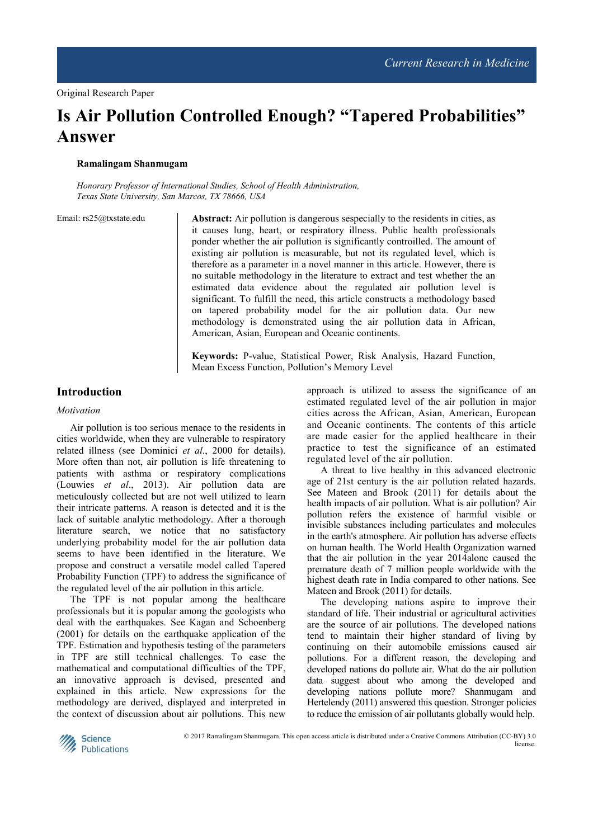# **Is Air Pollution Controlled Enough? "Tapered Probabilities" Answer**

#### **Ramalingam Shanmugam**

*Honorary Professor of International Studies, School of Health Administration, Texas State University, San Marcos, TX 78666, USA* 

Email: rs25@txstate.edu **Abstract:** Air pollution is dangerous sespecially to the residents in cities, as it causes lung, heart, or respiratory illness. Public health professionals ponder whether the air pollution is significantly controilled. The amount of existing air pollution is measurable, but not its regulated level, which is therefore as a parameter in a novel manner in this article. However, there is no suitable methodology in the literature to extract and test whether the an estimated data evidence about the regulated air pollution level is significant. To fulfill the need, this article constructs a methodology based on tapered probability model for the air pollution data. Our new methodology is demonstrated using the air pollution data in African, American, Asian, European and Oceanic continents.

> **Keywords:** P-value, Statistical Power, Risk Analysis, Hazard Function, Mean Excess Function, Pollution's Memory Level

# **Introduction**

#### *Motivation*

Air pollution is too serious menace to the residents in cities worldwide, when they are vulnerable to respiratory related illness (see Dominici *et al*., 2000 for details). More often than not, air pollution is life threatening to patients with asthma or respiratory complications (Louwies *et al*., 2013). Air pollution data are meticulously collected but are not well utilized to learn their intricate patterns. A reason is detected and it is the lack of suitable analytic methodology. After a thorough literature search, we notice that no satisfactory underlying probability model for the air pollution data seems to have been identified in the literature. We propose and construct a versatile model called Tapered Probability Function (TPF) to address the significance of the regulated level of the air pollution in this article.

The TPF is not popular among the healthcare professionals but it is popular among the geologists who deal with the earthquakes. See Kagan and Schoenberg (2001) for details on the earthquake application of the TPF. Estimation and hypothesis testing of the parameters in TPF are still technical challenges. To ease the mathematical and computational difficulties of the TPF, an innovative approach is devised, presented and explained in this article. New expressions for the methodology are derived, displayed and interpreted in the context of discussion about air pollutions. This new

approach is utilized to assess the significance of an estimated regulated level of the air pollution in major cities across the African, Asian, American, European and Oceanic continents. The contents of this article are made easier for the applied healthcare in their practice to test the significance of an estimated regulated level of the air pollution.

A threat to live healthy in this advanced electronic age of 21st century is the air pollution related hazards. See Mateen and Brook (2011) for details about the health impacts of air pollution. What is air pollution? Air pollution refers the existence of harmful visible or invisible substances including particulates and molecules in the earth's atmosphere. Air pollution has adverse effects on human health. The World Health Organization warned that the air pollution in the year 2014alone caused the premature death of 7 million people worldwide with the highest death rate in India compared to other nations. See Mateen and Brook (2011) for details.

The developing nations aspire to improve their standard of life. Their industrial or agricultural activities are the source of air pollutions. The developed nations tend to maintain their higher standard of living by continuing on their automobile emissions caused air pollutions. For a different reason, the developing and developed nations do pollute air. What do the air pollution data suggest about who among the developed and developing nations pollute more? Shanmugam and Hertelendy (2011) answered this question. Stronger policies to reduce the emission of air pollutants globally would help.



© 2017 Ramalingam Shanmugam. This open access article is distributed under a Creative Commons Attribution (CC-BY) 3.0 license.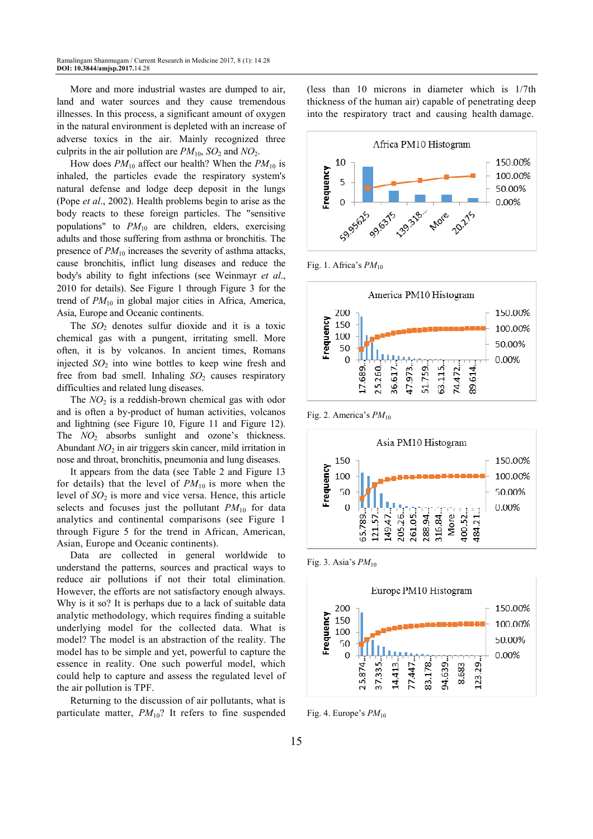More and more industrial wastes are dumped to air, land and water sources and they cause tremendous illnesses. In this process, a significant amount of oxygen in the natural environment is depleted with an increase of adverse toxics in the air. Mainly recognized three culprits in the air pollution are  $PM_{10}$ ,  $SO_2$  and  $NO_2$ .

How does  $PM_{10}$  affect our health? When the  $PM_{10}$  is inhaled, the particles evade the respiratory system's natural defense and lodge deep deposit in the lungs (Pope *et al*., 2002). Health problems begin to arise as the body reacts to these foreign particles. The "sensitive populations" to *PM*10 are children, elders, exercising adults and those suffering from asthma or bronchitis. The presence of  $PM_{10}$  increases the severity of asthma attacks, cause bronchitis, inflict lung diseases and reduce the body's ability to fight infections (see Weinmayr *et al*., 2010 for details). See Figure 1 through Figure 3 for the trend of *PM*10 in global major cities in Africa, America, Asia, Europe and Oceanic continents.

The  $SO_2$  denotes sulfur dioxide and it is a toxic chemical gas with a pungent, irritating smell. More often, it is by volcanos. In ancient times, Romans injected  $SO<sub>2</sub>$  into wine bottles to keep wine fresh and free from bad smell. Inhaling  $SO_2$  causes respiratory difficulties and related lung diseases.

The *NO*<sub>2</sub> is a reddish-brown chemical gas with odor and is often a by-product of human activities, volcanos and lightning (see Figure 10, Figure 11 and Figure 12). The *NO*<sub>2</sub> absorbs sunlight and ozone's thickness. Abundant *NO*2 in air triggers skin cancer, mild irritation in nose and throat, bronchitis, pneumonia and lung diseases.

It appears from the data (see Table 2 and Figure 13 for details) that the level of  $PM_{10}$  is more when the level of *SO*2 is more and vice versa. Hence, this article selects and focuses just the pollutant  $PM_{10}$  for data analytics and continental comparisons (see Figure 1 through Figure 5 for the trend in African, American, Asian, Europe and Oceanic continents).

Data are collected in general worldwide to understand the patterns, sources and practical ways to reduce air pollutions if not their total elimination. However, the efforts are not satisfactory enough always. Why is it so? It is perhaps due to a lack of suitable data analytic methodology, which requires finding a suitable underlying model for the collected data. What is model? The model is an abstraction of the reality. The model has to be simple and yet, powerful to capture the essence in reality. One such powerful model, which could help to capture and assess the regulated level of the air pollution is TPF.

Returning to the discussion of air pollutants, what is particulate matter,  $PM_{10}$ ? It refers to fine suspended (less than 10 microns in diameter which is 1/7th thickness of the human air) capable of penetrating deep into the respiratory tract and causing health damage.



Fig. 1. Africa's *PM*<sup>10</sup>



Fig. 2. America's  $PM_{10}$ 



Fig. 3. Asia's  $PM_{10}$ 



Fig. 4. Europe's  $PM_{10}$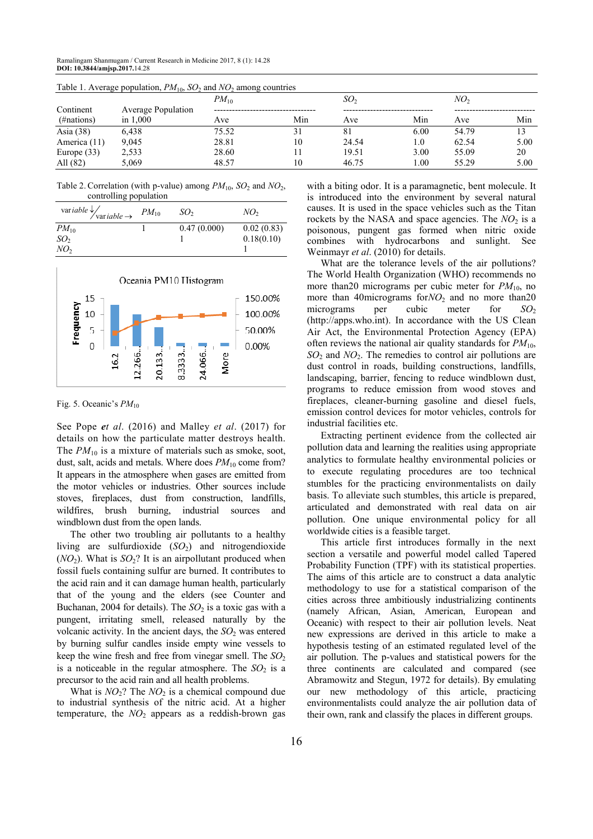| Table 1. Average population, $PM_{10}$ , $SO_2$ and $NO_2$ among countries |       |           |                 |          |                 |      |  |  |
|----------------------------------------------------------------------------|-------|-----------|-----------------|----------|-----------------|------|--|--|
|                                                                            |       |           | SO <sub>2</sub> |          | NO <sub>2</sub> |      |  |  |
| <b>Average Population</b>                                                  |       |           |                 |          |                 |      |  |  |
| in $1.000$                                                                 | Ave   | Min       | Ave             | Min      | Ave             | Min  |  |  |
| 6.438                                                                      | 75.52 | 31        | 81              | 6.00     | 54.79           | 13   |  |  |
| 9.045                                                                      | 28.81 | 10        | 24.54           | 1.0      | 62.54           | 5.00 |  |  |
| 2,533                                                                      | 28.60 |           | 19.51           | 3.00     | 55.09           | 20   |  |  |
| 5,069                                                                      | 48.57 | 10        | 46.75           | $1.00\,$ | 55.29           | 5.00 |  |  |
|                                                                            |       | $PM_{10}$ |                 |          |                 |      |  |  |

Table 1. Average population,  $PM_{10}$ ,  $SO_2$  and *NO*<sup>2</sup> among countries

Table 2. Correlation (with p-value) among  $PM_{10}$ ,  $SO_2$  and  $NO_2$ , controlling population

| var iable $\frac{1}{\sqrt{\frac{1}{10}}}\sqrt{PM_{10}}$ | SO <sub>2</sub> | NO <sub>2</sub> |
|---------------------------------------------------------|-----------------|-----------------|
| $PM_{10}$                                               | 0.47(0.000)     | 0.02(0.83)      |
| SO <sub>2</sub>                                         |                 | 0.18(0.10)      |
| NO <sub>2</sub>                                         |                 |                 |



Fig. 5. Oceanic's  $PM_{10}$ 

See Pope *et al*. (2016) and Malley *et al*. (2017) for details on how the particulate matter destroys health. The  $PM_{10}$  is a mixture of materials such as smoke, soot, dust, salt, acids and metals. Where does  $PM_{10}$  come from? It appears in the atmosphere when gases are emitted from the motor vehicles or industries. Other sources include stoves, fireplaces, dust from construction, landfills, wildfires, brush burning, industrial sources and windblown dust from the open lands.

The other two troubling air pollutants to a healthy living are sulfurdioxide  $(SO<sub>2</sub>)$  and nitrogendioxide  $(NO_2)$ . What is  $SO_2$ ? It is an airpollutant produced when fossil fuels containing sulfur are burned. It contributes to the acid rain and it can damage human health, particularly that of the young and the elders (see Counter and Buchanan, 2004 for details). The  $SO<sub>2</sub>$  is a toxic gas with a pungent, irritating smell, released naturally by the volcanic activity. In the ancient days, the  $SO<sub>2</sub>$  was entered by burning sulfur candles inside empty wine vessels to keep the wine fresh and free from vinegar smell. The  $SO_2$ is a noticeable in the regular atmosphere. The  $SO_2$  is a precursor to the acid rain and all health problems.

What is  $NO_2$ ? The  $NO_2$  is a chemical compound due to industrial synthesis of the nitric acid. At a higher temperature, the  $NO<sub>2</sub>$  appears as a reddish-brown gas

with a biting odor. It is a paramagnetic, bent molecule. It is introduced into the environment by several natural causes. It is used in the space vehicles such as the Titan rockets by the NASA and space agencies. The  $NO<sub>2</sub>$  is a poisonous, pungent gas formed when nitric oxide combines with hydrocarbons and sunlight. See Weinmayr *et al*. (2010) for details.

What are the tolerance levels of the air pollutions? The World Health Organization (WHO) recommends no more than20 micrograms per cubic meter for  $PM_{10}$ , no more than 40micrograms for*NO*<sub>2</sub> and no more than20 micrograms per cubic meter for *SO*<sub>2</sub> (http://apps.who.int). In accordance with the US Clean Air Act, the Environmental Protection Agency (EPA) often reviews the national air quality standards for  $PM_{10}$ , *SO*<sub>2</sub> and *NO*<sub>2</sub>. The remedies to control air pollutions are dust control in roads, building constructions, landfills, landscaping, barrier, fencing to reduce windblown dust, programs to reduce emission from wood stoves and fireplaces, cleaner-burning gasoline and diesel fuels, emission control devices for motor vehicles, controls for industrial facilities etc.

Extracting pertinent evidence from the collected air pollution data and learning the realities using appropriate analytics to formulate healthy environmental policies or to execute regulating procedures are too technical stumbles for the practicing environmentalists on daily basis. To alleviate such stumbles, this article is prepared, articulated and demonstrated with real data on air pollution. One unique environmental policy for all worldwide cities is a feasible target.

This article first introduces formally in the next section a versatile and powerful model called Tapered Probability Function (TPF) with its statistical properties. The aims of this article are to construct a data analytic methodology to use for a statistical comparison of the cities across three ambitiously industrializing continents (namely African, Asian, American, European and Oceanic) with respect to their air pollution levels. Neat new expressions are derived in this article to make a hypothesis testing of an estimated regulated level of the air pollution. The p-values and statistical powers for the three continents are calculated and compared (see Abramowitz and Stegun, 1972 for details). By emulating our new methodology of this article, practicing environmentalists could analyze the air pollution data of their own, rank and classify the places in different groups.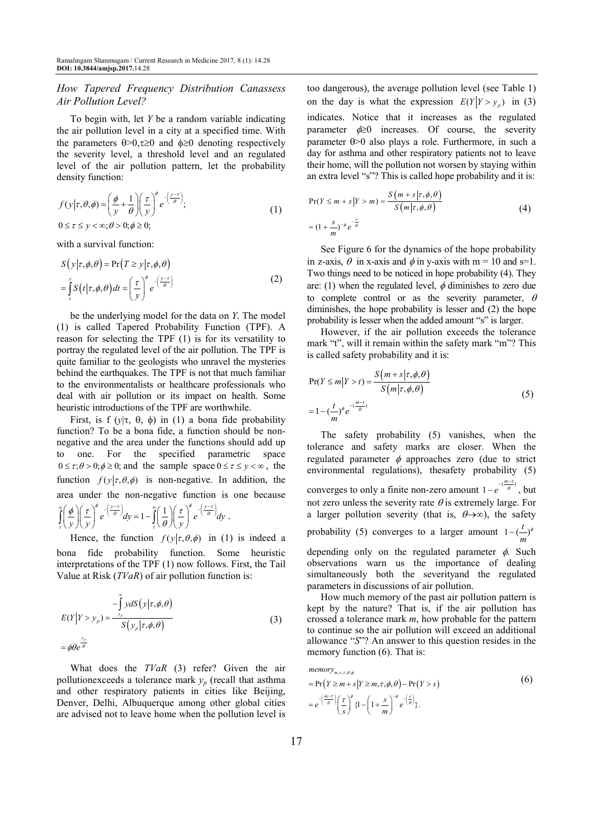#### *How Tapered Frequency Distribution Canassess Air Pollution Level?*

To begin with, let *Y* be a random variable indicating the air pollution level in a city at a specified time. With the parameters  $\theta > 0$ ,  $\tau \ge 0$  and  $\phi \ge 0$  denoting respectively the severity level, a threshold level and an regulated level of the air pollution pattern, let the probability density function:

$$
f(y|\tau,\theta,\phi) = \left(\frac{\phi}{y} + \frac{1}{\theta}\right) \left(\frac{\tau}{y}\right)^{\phi} e^{-\left(\frac{y-\tau}{\theta}\right)},
$$
  
0 \le \tau \le y < \infty; \theta > 0; \phi \ge 0; (1)

with a survival function:

$$
S(y|\tau, \phi, \theta) = \Pr(T \ge y|\tau, \phi, \theta)
$$
  
= 
$$
\int_{\tau}^{y} S(t|\tau, \phi, \theta) dt = \left(\frac{\tau}{y}\right)^{\phi} e^{-\left(\frac{y-\tau}{\theta}\right)}
$$
 (2)

be the underlying model for the data on *Y*. The model (1) is called Tapered Probability Function (TPF). A reason for selecting the TPF (1) is for its versatility to portray the regulated level of the air pollution. The TPF is quite familiar to the geologists who unravel the mysteries behind the earthquakes. The TPF is not that much familiar to the environmentalists or healthcare professionals who deal with air pollution or its impact on health. Some heuristic introductions of the TPF are worthwhile.

First, is f  $(y|\tau, \theta, \phi)$  in (1) a bona fide probability function? To be a bona fide, a function should be nonnegative and the area under the functions should add up to one. For the specified parametric space  $0 \le \tau; \theta > 0; \phi \ge 0$ ; and the sample space  $0 \le \tau \le y < \infty$ , the function  $f(y|\tau, \theta, \phi)$  is non-negative. In addition, the area under the non-negative function is one because

$$
\int_{\tau}^{\infty} \left(\frac{\phi}{y}\right) \left(\frac{\tau}{y}\right)^{\phi} e^{-\left(\frac{y-\tau}{\theta}\right)} dy = 1 - \int_{\tau}^{\infty} \left(\frac{1}{\theta}\right) \left(\frac{\tau}{y}\right)^{\phi} e^{-\left(\frac{y-\tau}{\theta}\right)} dy
$$

Hence, the function  $f(y|\tau, \theta, \phi)$  in (1) is indeed a bona fide probability function. Some heuristic interpretations of the TPF (1) now follows. First, the Tail Value at Risk (*TVaR*) of air pollution function is:

.

$$
E(Y|Y > y_p) = \frac{-\int_{y_p}^{\infty} y dS(y|\tau, \phi, \theta)}{S(y_p|\tau, \phi, \theta)}
$$
  
=  $\phi \theta e^{\frac{y_p}{\theta}}$  (3)

What does the *TVaR* (3) refer? Given the air pollutionexceeds a tolerance mark  $y_p$  (recall that asthma and other respiratory patients in cities like Beijing, Denver, Delhi, Albuquerque among other global cities are advised not to leave home when the pollution level is too dangerous), the average pollution level (see Table 1) on the day is what the expression  $E(Y|Y > y_p)$  in (3) indicates. Notice that it increases as the regulated parameter  $\phi \geq 0$  increases. Of course, the severity parameter θ>0 also plays a role. Furthermore, in such a day for asthma and other respiratory patients not to leave their home, will the pollution not worsen by staying within an extra level "s"? This is called hope probability and it is:

$$
Pr(Y \le m + s | Y > m) = \frac{S(m + s | \tau, \phi, \theta)}{S(m | \tau, \phi, \theta)}
$$
  
=  $(1 + \frac{s}{m})^{-\phi} e^{-\frac{s}{\theta}}$  (4)

See Figure 6 for the dynamics of the hope probability in z-axis,  $\theta$  in x-axis and  $\phi$  in y-axis with m = 10 and s=1. Two things need to be noticed in hope probability (4). They are: (1) when the regulated level,  $\phi$  diminishes to zero due to complete control or as the severity parameter,  $\theta$ diminishes, the hope probability is lesser and (2) the hope probability is lesser when the added amount "s" is larger.

However, if the air pollution exceeds the tolerance mark "t", will it remain within the safety mark "m"? This is called safety probability and it is:

$$
Pr(Y \le m | Y > t) = \frac{S(m+s | \tau, \phi, \theta)}{S(m | \tau, \phi, \theta)}
$$
  
=  $1 - (\frac{t}{m})^{\phi} e^{-(\frac{m-t}{\theta})}$  (5)

The safety probability (5) vanishes, when the tolerance and safety marks are closer. When the regulated parameter  $\phi$  approaches zero (due to strict environmental regulations), thesafety probability (5) converges to only a finite non-zero amount  $1 - e^{-\left(\frac{m - t}{\theta}\right)}$ , but not zero unless the severity rate  $\theta$  is extremely large. For a larger pollution severity (that is,  $\theta \rightarrow \infty$ ), the safety probability (5) converges to a larger amount  $1 - (1 - \phi)^{\phi}$ *m*

depending only on the regulated parameter  $\phi$ . Such observations warn us the importance of dealing simultaneously both the severityand the regulated parameters in discussions of air pollution.

How much memory of the past air pollution pattern is kept by the nature? That is, if the air pollution has crossed a tolerance mark *m*, how probable for the pattern to continue so the air pollution will exceed an additional allowance "*S*"? An answer to this question resides in the memory function (6). That is:

$$
\begin{aligned}\n\text{memory}_{m,s,\tau,\theta,\phi} &= \Pr\left(Y \ge m + s \middle| Y \ge m, \tau,\phi,\theta\right) - \Pr\left(Y > s\right) \\
&= e^{-\left(\frac{m-\tau}{\theta}\right)} \left(\frac{\tau}{s}\right)^{\phi} \left\{1 - \left(1 + \frac{s}{m}\right)^{-\phi} e^{-\left(\frac{s}{\theta}\right)}\right\}.\n\end{aligned}\n\tag{6}
$$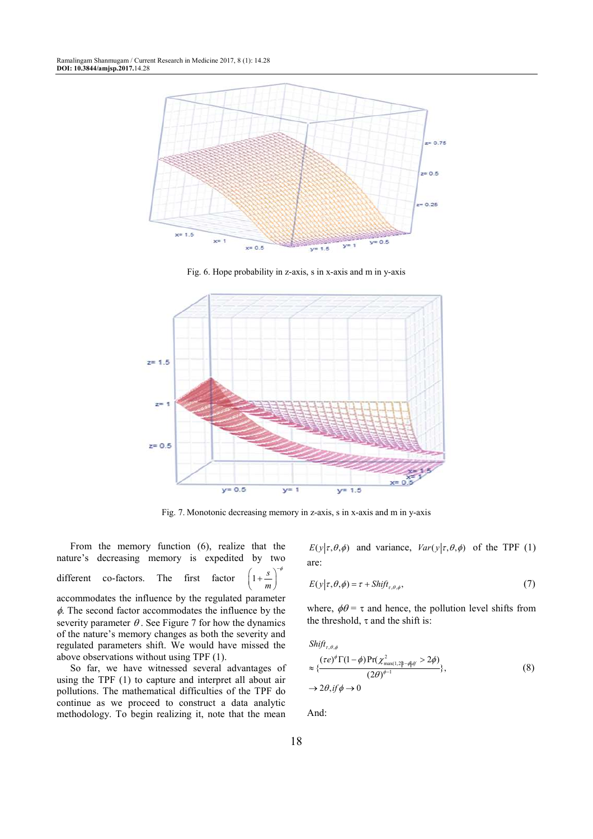Ramalingam Shanmugam / Current Research in Medicine 2017, 8 (1): 14.28 **DOI: 10.3844/amjsp.2017.**14.28



Fig. 6. Hope probability in z-axis, s in x-axis and m in y-axis



Fig. 7. Monotonic decreasing memory in z-axis, s in x-axis and m in y-axis

From the memory function (6), realize that the nature's decreasing memory is expedited by two different co-factors. The first factor −φ  $\left(1+\frac{s}{m}\right)^{3}$ *m* accommodates the influence by the regulated parameter  $\phi$ . The second factor accommodates the influence by the severity parameter  $\theta$ . See Figure 7 for how the dynamics of the nature's memory changes as both the severity and regulated parameters shift. We would have missed the

So far, we have witnessed several advantages of using the TPF (1) to capture and interpret all about air pollutions. The mathematical difficulties of the TPF do continue as we proceed to construct a data analytic methodology. To begin realizing it, note that the mean

above observations without using TPF (1).

 $E(y|\tau, \theta, \phi)$  and variance,  $Var(y|\tau, \theta, \phi)$  of the TPF (1) are:

$$
E(y|\tau, \theta, \phi) = \tau + \text{Shift}_{\tau, \theta, \phi},\tag{7}
$$

where,  $\phi\theta = \tau$  and hence, the pollution level shifts from the threshold,  $\tau$  and the shift is:

$$
Shift_{\tau,\theta,\phi}
$$
\n
$$
\approx \left\{ \frac{(\tau e)^{\phi} \Gamma(1-\phi) \Pr(\chi^2_{\text{max}(1,2]1-\phi|df} > 2\phi)}{(2\theta)^{\phi-1}} \right\},
$$
\n
$$
\rightarrow 2\theta, if \phi \rightarrow 0
$$
\n(8)

And: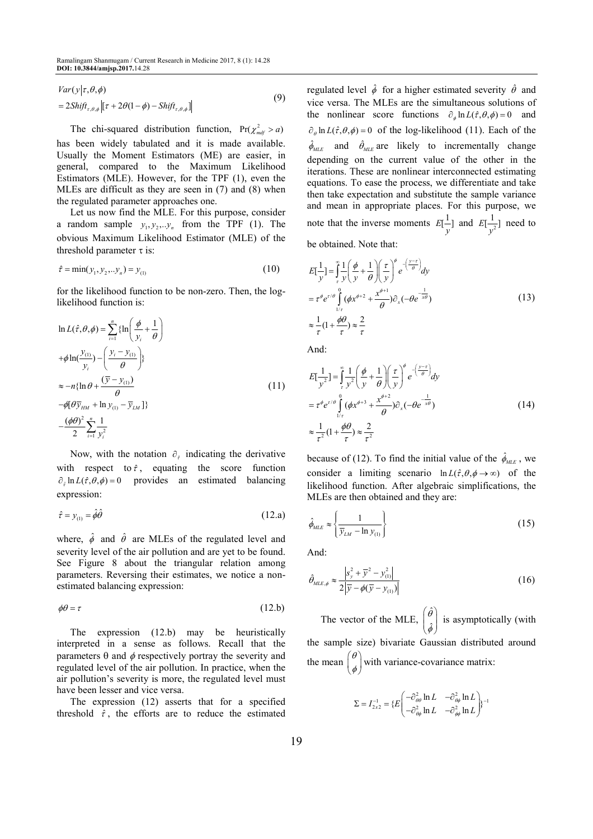$$
Var(y|\tau, \theta, \phi)
$$
  
= 2Shift<sub>\tau, \theta, \phi</sub> [  $\tau$  + 2 $\theta$ (1 -  $\phi$ ) - Shift<sub>\tau, \theta, \phi</sub> ] (9)

The chi-squared distribution function,  $Pr(\chi^2_{mdf} > a)$ has been widely tabulated and it is made available. Usually the Moment Estimators (ME) are easier, in general, compared to the Maximum Likelihood Estimators (MLE). However, for the TPF (1), even the MLEs are difficult as they are seen in (7) and (8) when the regulated parameter approaches one.

Let us now find the MLE. For this purpose, consider a random sample  $y_1, y_2, \ldots, y_n$  from the TPF (1). The obvious Maximum Likelihood Estimator (MLE) of the threshold parameter  $\tau$  is:

$$
\hat{\tau} = \min(y_1, y_2, \dots y_n) = y_{(1)} \tag{10}
$$

for the likelihood function to be non-zero. Then, the loglikelihood function is:

$$
\ln L(\hat{\tau}, \theta, \phi) = \sum_{i=1}^{n} \{\ln\left(\frac{\phi}{y_i} + \frac{1}{\theta}\right) \n+ \phi \ln(\frac{y_{(1)}}{y_i}) - \left(\frac{y_i - y_{(1)}}{\theta}\right) \} \n\approx -n \{\ln \theta + \frac{(\bar{y} - y_{(1)})}{\theta} \n- \phi[\theta \bar{y}_{HM} + \ln y_{(1)} - \bar{y}_{LM}]\} \n- \frac{(\phi \theta)^2}{2} \sum_{i=1}^{n} \frac{1}{y_i^2}
$$
\n(11)

Now, with the notation  $\partial_{\hat{t}}$  indicating the derivative with respect to  $\hat{\tau}$ , equating the score function  $\partial_{\hat{r}} \ln L(\hat{r}, \theta, \phi) = 0$  provides an estimated balancing expression:

$$
\hat{\tau} = y_{(1)} = \hat{\phi}\hat{\theta} \tag{12.a}
$$

where,  $\hat{\phi}$  and  $\hat{\theta}$  are MLEs of the regulated level and severity level of the air pollution and are yet to be found. See Figure 8 about the triangular relation among parameters. Reversing their estimates, we notice a nonestimated balancing expression:

$$
\phi \theta = \tau \tag{12.b}
$$

The expression (12.b) may be heuristically interpreted in a sense as follows. Recall that the parameters  $\theta$  and  $\phi$  respectively portray the severity and regulated level of the air pollution. In practice, when the air pollution's severity is more, the regulated level must have been lesser and vice versa.

The expression (12) asserts that for a specified threshold  $\hat{\tau}$ , the efforts are to reduce the estimated regulated level  $\hat{\phi}$  for a higher estimated severity  $\hat{\theta}$  and vice versa. The MLEs are the simultaneous solutions of the nonlinear score functions  $\partial_{\phi} \ln L(\hat{\tau}, \theta, \phi) = 0$  and  $\partial_{\theta} \ln L(\hat{\tau}, \theta, \phi) = 0$  of the log-likelihood (11). Each of the  $\hat{\phi}_{MLE}$  and  $\hat{\theta}_{MLE}$  are likely to incrementally change depending on the current value of the other in the iterations. These are nonlinear interconnected estimating equations. To ease the process, we differentiate and take then take expectation and substitute the sample variance and mean in appropriate places. For this purpose, we note that the inverse moments  $E[\frac{1}{y}]$  and  $E[\frac{1}{y^2}]$  need to

be obtained. Note that:

$$
E\left[\frac{1}{y}\right] = \int_{\tau}^{\infty} \frac{1}{y} \left(\frac{\phi}{y} + \frac{1}{\theta}\right) \left(\frac{\tau}{y}\right)^{\phi} e^{-\left(\frac{y-\tau}{\theta}\right)} dy
$$
  
\n
$$
= \tau^{\phi} e^{\tau/\theta} \int_{\frac{1}{\tau}}^{0} (\phi x^{\phi+2} + \frac{x^{\phi+1}}{\theta}) \partial_{x}(-\theta e^{-\frac{1}{x\theta}})
$$
  
\n
$$
\approx \frac{1}{\tau} (1 + \frac{\phi\theta}{\tau}) \approx \frac{2}{\tau}
$$
 (13)

And:

$$
E\left[\frac{1}{y^2}\right] = \int_{\tau}^{\infty} \frac{1}{y^2} \left(\frac{\phi}{y} + \frac{1}{\theta}\right) \left(\frac{\tau}{y}\right)^{\phi} e^{-\left(\frac{y-\tau}{\theta}\right)} dy
$$
  
\n
$$
= \tau^{\phi} e^{\tau/\theta} \int_{\frac{1}{\tau}}^{\theta} (\phi x^{\phi+3} + \frac{x^{\phi+2}}{\theta}) \partial_x (-\theta e^{-\frac{1}{x\theta}})
$$
  
\n
$$
\approx \frac{1}{\tau^2} (1 + \frac{\phi \theta}{\tau}) \approx \frac{2}{\tau^2}
$$
\n(14)

because of (12). To find the initial value of the  $\hat{\phi}_{MLE}$ , we consider a limiting scenario  $\ln L(\hat{\tau}, \theta, \phi \rightarrow \infty)$  of the likelihood function. After algebraic simplifications, the MLEs are then obtained and they are:

$$
\hat{\phi}_{MLE} \approx \left\{ \frac{1}{\overline{y}_{LM} - \ln y_{(1)}} \right\}
$$
\n(15)

And:

$$
\hat{\theta}_{MLE,\phi} \approx \frac{|s_y^2 + \overline{y}^2 - y_{(1)}^2|}{2|\overline{y} - \phi(\overline{y} - y_{(1)})|}
$$
(16)

The vector of the MLE, ˆ ˆ θ  $\begin{pmatrix} \hat{\theta} \\ \hat{\phi} \end{pmatrix}$  is asymptotically (with the sample size) bivariate Gaussian distributed around the mean  $\begin{pmatrix} \theta \\ \phi \end{pmatrix}$  with variance-covariance matrix:

$$
\Sigma = I_{2x2}^{-1} = \{ E \begin{pmatrix} -\partial_{\theta\theta}^2 \ln L & -\partial_{\theta\phi}^2 \ln L \\ -\partial_{\theta\phi}^2 \ln L & -\partial_{\phi\phi}^2 \ln L \end{pmatrix} \}^{-1}
$$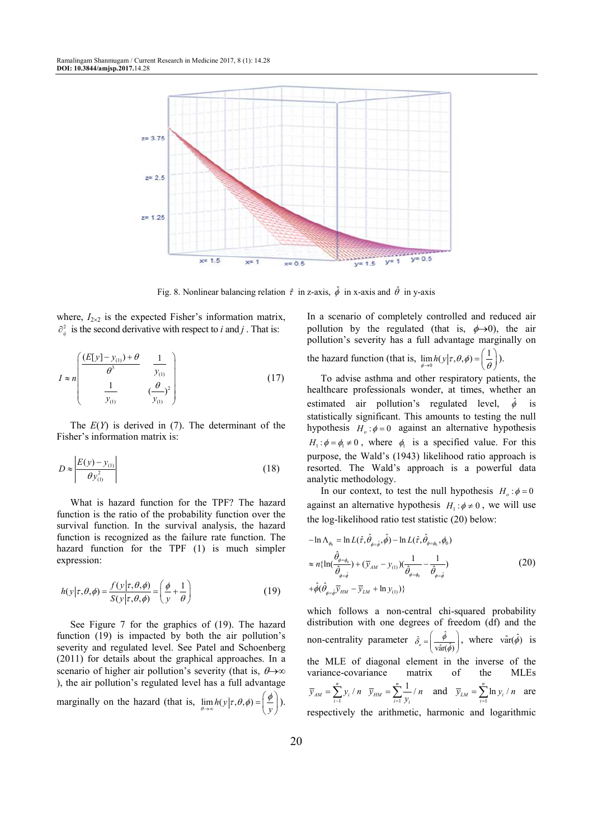

Fig. 8. Nonlinear balancing relation  $\hat{\tau}$  in z-axis,  $\hat{\phi}$  in x-axis and  $\hat{\theta}$  in y-axis

where,  $I_{2\times 2}$  is the expected Fisher's information matrix,  $\partial_{ij}^2$  is the second derivative with respect to *i* and *j*. That is:

$$
I \approx n \left( \frac{(E[y] - y_{(1)}) + \theta}{\theta^3} - \frac{1}{y_{(1)}} \right) \left( \frac{\theta}{y_{(1)}} \right)
$$
(17)

The *E*(*Y*) is derived in (7). The determinant of the Fisher's information matrix is:

$$
D \approx \left| \frac{E(y) - y_{(1)}}{\theta y_{(1)}^2} \right| \tag{18}
$$

What is hazard function for the TPF? The hazard function is the ratio of the probability function over the survival function. In the survival analysis, the hazard function is recognized as the failure rate function. The hazard function for the TPF (1) is much simpler expression:

$$
h(y|\tau,\theta,\phi) = \frac{f(y|\tau,\theta,\phi)}{S(y|\tau,\theta,\phi)} = \left(\frac{\phi}{y} + \frac{1}{\theta}\right)
$$
(19)

See Figure 7 for the graphics of (19). The hazard function (19) is impacted by both the air pollution's severity and regulated level. See Patel and Schoenberg (2011) for details about the graphical approaches. In a scenario of higher air pollution's severity (that is,  $\theta \rightarrow \infty$ ), the air pollution's regulated level has a full advantage marginally on the hazard (that is,  $\lim_{\theta \to \infty} h(y | \tau, \theta, \phi) =$  $\lim_{n\to\infty} h(y|\tau,\theta,\phi) = \left(\frac{\phi}{v}\right)$  $h(y|\tau, \theta, \phi) = \left(\frac{\phi}{y}\right).$  In a scenario of completely controlled and reduced air pollution by the regulated (that is,  $\phi \rightarrow 0$ ), the air pollution's severity has a full advantage marginally on

the hazard function (that is,  $\lim_{\phi \to 0}$  $\lim_{\phi \to 0} h(y|\tau, \theta, \phi) = \left(\frac{1}{\theta}\right)$  $h(y|\tau, \theta, \phi) = \left(\frac{1}{\theta}\right).$ 

To advise asthma and other respiratory patients, the healthcare professionals wonder, at times, whether an estimated air pollution's regulated level,  $\hat{\phi}$  is statistically significant. This amounts to testing the null hypothesis  $H_o: \phi = 0$  against an alternative hypothesis  $H_1$ :  $\phi = \phi_1 \neq 0$ , where  $\phi_1$  is a specified value. For this purpose, the Wald's (1943) likelihood ratio approach is resorted. The Wald's approach is a powerful data analytic methodology.

In our context, to test the null hypothesis  $H_o: \phi = 0$ against an alternative hypothesis  $H_1$ :  $\phi \neq 0$ , we will use the log-likelihood ratio test statistic (20) below:

$$
-\ln \Lambda_{\phi_0} = \ln L(\hat{\tau}, \hat{\theta}_{\phi=\hat{\phi}}, \hat{\phi}) - \ln L(\hat{\tau}, \hat{\theta}_{\phi=\phi_0}, \phi_0)
$$
  
\n
$$
\approx n\{\ln(\frac{\hat{\theta}_{\phi=\phi_0}}{\hat{\theta}_{\phi=\hat{\phi}}}) + (\bar{y}_{AM} - y_{(1)})(\frac{1}{\hat{\theta}_{\phi=\phi_0}} - \frac{1}{\hat{\theta}_{\phi=\hat{\phi}}})
$$
  
\n
$$
+\hat{\phi}(\hat{\theta}_{\phi=\hat{\phi}}\bar{y}_{HM} - \bar{y}_{LM} + \ln y_{(1)})\}
$$
\n(20)

which follows a non-central chi-squared probability distribution with one degrees of freedom (df) and the non-centrality parameter  $\hat{\delta}_{o} = \left(\frac{\hat{\phi}}{\text{var}(\hat{\phi})}\right)^{2}$  $\hat{\delta}_o = \begin{pmatrix} \phi \\ \frac{\hat{\phi}}{\text{var}(\hat{\phi})} \end{pmatrix}$  $\vec{v}_o = \left(\frac{\hat{\phi}}{\text{var}(\hat{\phi})}\right)$ , where  $\hat{\text{var}}(\hat{\phi})$  is the MLE of diagonal element in the inverse of the variance-covariance matrix of the MLEs  $i=1$  $=\sum_{i=1}^n y_i / n \quad \overline{y}_{HM} = \sum_{i=1}^n \frac{1}{y_i} / n$  $\mu_{AM} - \sum_{i=1}^{N} y_i \cdot n \quad y_{HM} - \sum_{i=1}^{N} y_i$  $\overline{y}_{AM} = \sum_{i=1}^{n} y_i / n \quad \overline{y}_{HM} = \sum_{i=1}^{n} \frac{1}{y_i} / n$  and  $\overline{y}_{LM} = \sum_{i=1}^{n} \ln y_i / n$  $\overline{y}_{LM} = \sum_{i=1}^{\infty} \ln y_i / n$  are respectively the arithmetic, harmonic and logarithmic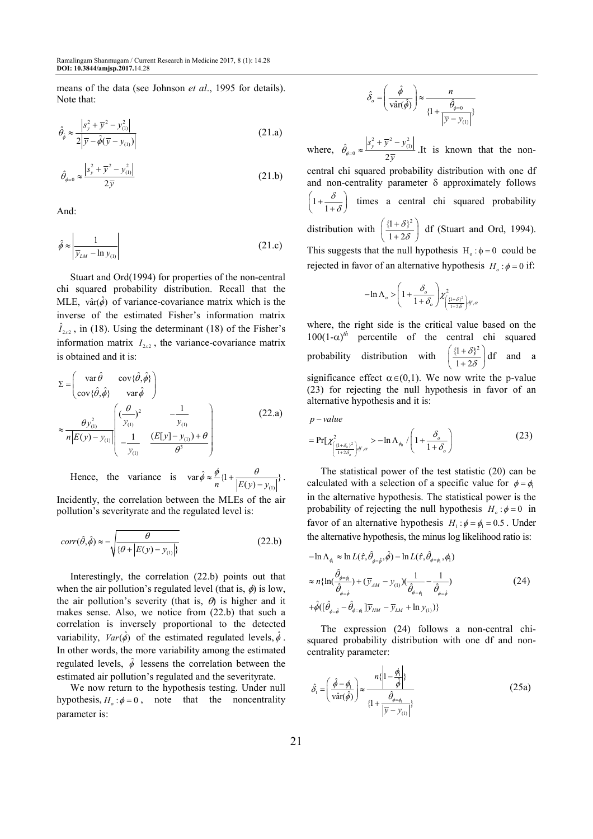means of the data (see Johnson *et al*., 1995 for details). Note that:

$$
\hat{\theta}_{\hat{\phi}} \approx \frac{|s_y^2 + \bar{y}^2 - y_{(1)}^2|}{2|\bar{y} - \hat{\phi}(\bar{y} - y_{(1)})|}
$$
(21.a)

$$
\hat{\theta}_{\phi=0} \approx \frac{|s_y^2 + \overline{y}^2 - y_{(1)}^2|}{2\overline{y}}
$$
 (21.b)

And:

$$
\hat{\phi} \approx \left| \frac{1}{\overline{y}_{LM} - \ln y_{(1)}} \right| \tag{21.c}
$$

Stuart and Ord(1994) for properties of the non-central chi squared probability distribution. Recall that the MLE,  $\text{var}(\hat{\phi})$  of variance-covariance matrix which is the inverse of the estimated Fisher's information matrix  $\hat{I}_{2x2}$ , in (18). Using the determinant (18) of the Fisher's information matrix  $I_{2x2}$ , the variance-covariance matrix is obtained and it is:

$$
\Sigma = \begin{pmatrix} \text{var}\,\hat{\theta} & \text{cov}\{\hat{\theta}, \hat{\phi}\} \\ \text{cov}\{\hat{\theta}, \hat{\phi}\} & \text{var}\,\hat{\phi} \end{pmatrix}
$$
\n
$$
\approx \frac{\theta y_{(1)}^2}{n|E(y) - y_{(1)}|} \begin{pmatrix} (\frac{\theta}{y_{(1)}})^2 & -\frac{1}{y_{(1)}} \\ -\frac{1}{y_{(1)}} & \frac{(E[y] - y_{(1)}) + \theta}{\theta^3} \end{pmatrix}
$$
\n(22.a)

Hence, the variance is (1)  $\text{var}\,\hat{\phi} \approx \frac{\varphi}{n} \{1 + \frac{\theta}{|E(y) - y_{(1)}|}\}.$  $\hat{\phi} \approx \frac{\phi}{n} \left\{ 1 + \frac{\theta}{\left| E(y) - y_{(1)} \right|} \right\}.$ 

Incidently, the correlation between the MLEs of the air pollution's severityrate and the regulated level is:

$$
corr(\hat{\theta}, \hat{\phi}) \approx -\sqrt{\frac{\theta}{\{\theta + |E(y) - y_{(1)}|\}}}
$$
 (22.b)

Interestingly, the correlation (22.b) points out that when the air pollution's regulated level (that is,  $\phi$ ) is low, the air pollution's severity (that is,  $\theta$ ) is higher and it makes sense. Also, we notice from (22.b) that such a correlation is inversely proportional to the detected variability,  $Var(\hat{\phi})$  of the estimated regulated levels,  $\hat{\phi}$ . In other words, the more variability among the estimated regulated levels,  $\hat{\phi}$  lessens the correlation between the estimated air pollution's regulated and the severityrate.

We now return to the hypothesis testing. Under null hypothesis,  $H_o: \phi = 0$ , note that the noncentrality parameter is:

$$
\hat{\delta}_o = \left(\frac{\hat{\phi}}{\text{var}(\hat{\phi})}\right) \approx \frac{n}{\left\{1 + \frac{\hat{\theta}_{\phi=0}}{|\overline{y} - y_{(1)}|}\right\}}
$$

where,  $\hat{Q}_{\phi=0} \approx \frac{S_y^2 + \overline{y}^2 - y_{(1)}^2}{2\pi}$  $\theta_{\phi=0} \approx \frac{1+\mu}{2}$  $\approx \frac{|s_y^2 + \bar{y}^2 - y_0^2|}{\bar{y}^2 - y_0^2|}$  $\frac{y(x)}{y}$ .It is known that the noncentral chi squared probability distribution with one df and non-centrality parameter  $\delta$  approximately follows  $1 + \frac{1}{1}$ δ δ  $\left(1+\frac{\delta}{1+\delta}\right)$  times a central chi squared probability distribution with  $\left(\frac{\{1+\delta\}^2}{1-\delta\sigma^2}\right)$  $1 + 2\epsilon$ δ δ  $(1+\delta)^2$  $\left(\frac{1+o_f}{1+2\delta}\right)$  df (Stuart and Ord, 1994). This suggests that the null hypothesis  $H_0 : \phi = 0$  could be rejected in favor of an alternative hypothesis  $H_o$ :  $\phi = 0$  if:

$$
-\ln \Lambda_o > \left(1 + \frac{\delta_o}{1 + \delta_o}\right)\chi^2_{\left(\frac{\{1 + \delta\}^2}{1 + 2\delta}\right) d^f}.
$$

where, the right side is the critical value based on the  $100(1-\alpha)^{th}$  percentile of the central chi squared probability distribution with  $\left(\frac{\{1+\delta\}^2}{1-\delta\right)^2}$  $1 + 2\epsilon$ δ δ  $(1+\delta)^2$  $\left(\frac{1+O_3}{1+2\delta}\right)$ df and a significance effect  $\alpha \in (0,1)$ . We now write the p-value (23) for rejecting the null hypothesis in favor of an alternative hypothesis and it is:

$$
p-value
$$
  
=  $\Pr[\chi^2_{\left(\frac{(1+\delta_o)^2}{1+2\delta_o}\right]d^r,\alpha} > -\ln \Lambda_{\phi_0} / \left(1 + \frac{\delta_o}{1+\delta_o}\right)$  (23)

The statistical power of the test statistic (20) can be calculated with a selection of a specific value for  $\phi = \phi_1$ in the alternative hypothesis. The statistical power is the probability of rejecting the null hypothesis  $H_o: \phi = 0$  in favor of an alternative hypothesis  $H_1$ :  $\phi = \phi_1 = 0.5$ . Under the alternative hypothesis, the minus log likelihood ratio is:

$$
-\ln \Lambda_{\phi} \approx \ln L(\hat{\tau}, \hat{\theta}_{\phi=\hat{\phi}}, \hat{\phi}) - \ln L(\hat{\tau}, \hat{\theta}_{\phi=\phi}, \phi_{1})
$$
  

$$
\approx n\{\ln(\frac{\hat{\theta}_{\phi=\phi}}{\hat{\theta}_{\phi=\hat{\phi}}}) + (\bar{y}_{AM} - y_{(1)})(\frac{1}{\hat{\theta}_{\phi=\phi}} - \frac{1}{\hat{\theta}_{\phi=\hat{\phi}}})
$$
  

$$
+\hat{\phi}([\hat{\theta}_{\phi=\hat{\phi}} - \hat{\theta}_{\phi=\phi_{1}}]\bar{y}_{HM} - \bar{y}_{LM} + \ln y_{(1)})\}
$$
(24)

The expression (24) follows a non-central chisquared probability distribution with one df and noncentrality parameter:

$$
\hat{\delta}_1 = \left(\frac{\hat{\phi} - \phi_1}{\hat{\text{var}}(\hat{\phi})}\right) \approx \frac{n\left\{1 - \frac{\phi_1}{\hat{\phi}}\right\}}{\left\{1 + \frac{\hat{\theta}_{\phi - \phi_1}}{|\overline{y} - y_{(1)}|^{2}}\right\}}
$$
(25a)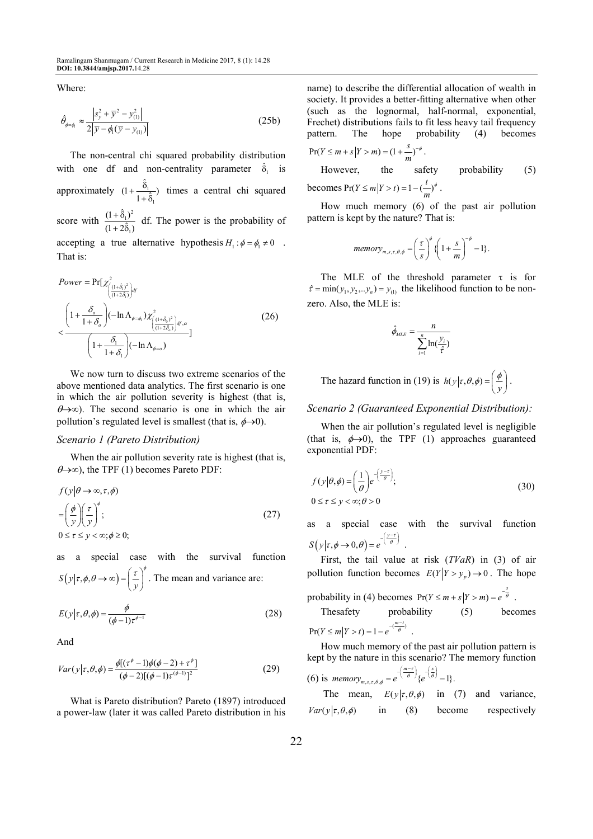Where:

$$
\hat{\theta}_{\phi=\phi} \approx \frac{\left| s_y^2 + \overline{y}^2 - y_{(1)}^2 \right|}{2\left| \overline{y} - \phi_1(\overline{y} - y_{(1)}) \right|} \tag{25b}
$$

The non-central chi squared probability distribution with one df and non-centrality parameter  $\hat{\delta}_1$  is approximately  $(1 + \frac{6}{1})$ 1  $\hat{\delta}$  $(1 + \frac{\delta_1}{1 + \hat{\delta}_1})$  times a central chi squared score with  $\frac{(1+\hat{\delta}_1)^2}{(1+\hat{\delta}_1)^2}$ 1  $(1 + \hat{\delta}_1)^2$  $(1 + 2\hat{\delta}_1)$  $+\delta$  $+\frac{6(1)}{2(6)}$  df. The power is the probability of accepting a true alternative hypothesis  $H_1$ :  $\phi = \phi_1 \neq 0$ . That is:

$$
Power = \Pr[\chi^{2}_{\left(\frac{(1+\hat{\delta}_{1})^{2}}{(1+2\hat{\delta}_{1})}\right)d} \left(\frac{1+\frac{\delta_{o}}{1+\delta_{o}}\right)(- \ln \Lambda_{\phi=\phi_{1}}) \chi^{2}_{\left(\frac{(1+\hat{\delta}_{0})^{2}}{(1+2\hat{\delta}_{o})}\right)d^{r}, \alpha}}{\left(1+\frac{\delta_{1}}{1+\delta_{1}}\right)(- \ln \Lambda_{\phi=o_{1}})}
$$
(26)

We now turn to discuss two extreme scenarios of the above mentioned data analytics. The first scenario is one in which the air pollution severity is highest (that is,  $\theta \rightarrow \infty$ ). The second scenario is one in which the air pollution's regulated level is smallest (that is,  $\phi \rightarrow 0$ ).

#### *Scenario 1 (Pareto Distribution)*

When the air pollution severity rate is highest (that is,  $\theta \rightarrow \infty$ ), the TPF (1) becomes Pareto PDF:

$$
f(y|\theta \to \infty, \tau, \phi)
$$
  
=  $\left(\frac{\phi}{y}\right) \left(\frac{\tau}{y}\right)^{\phi}$ ;  
 $0 \le \tau \le y < \infty; \phi \ge 0;$  (27)

as a special case with the survival function  $S(y | \tau, \phi, \theta \to \infty) = \left(\frac{\tau}{y}\right)^{\phi}$ . The mean and variance are:

$$
E(y|\tau,\theta,\phi) = \frac{\phi}{(\phi-1)\tau^{\phi-1}}
$$
\n(28)

And

$$
Var(y|\tau, \theta, \phi) = \frac{\phi[(\tau^{\phi} - 1)\phi(\phi - 2) + \tau^{\phi}]}{(\phi - 2)[(\phi - 1)\tau^{(\phi - 1)}]^{2}}
$$
(29)

What is Pareto distribution? Pareto (1897) introduced a power-law (later it was called Pareto distribution in his name) to describe the differential allocation of wealth in society. It provides a better-fitting alternative when other (such as the lognormal, half-normal, exponential, Frechet) distributions fails to fit less heavy tail frequency pattern. The hope probability (4) becomes

$$
Pr(Y \le m + s | Y > m) = (1 + \frac{s}{m})^{-\phi}.
$$

However, the safety probability (5) becomes  $Pr(Y \le m | Y > t) = 1 - (\frac{t}{m})^{\phi}$ .

How much memory (6) of the past air pollution pattern is kept by the nature? That is:

$$
memory_{m,s,\tau,\theta,\phi} = \left(\frac{\tau}{s}\right)^{\phi} \left\{ \left(1 + \frac{s}{m}\right)^{-\phi} - 1 \right\}.
$$

The MLE of the threshold parameter  $\tau$  is for  $\hat{\tau} = \min(y_1, y_2, \dots, y_n) = y_{(1)}$  the likelihood function to be nonzero. Also, the MLE is:

$$
\hat{\phi}_{MLE} = \frac{n}{\sum_{i=1}^{n} \ln(\frac{y_i}{\hat{\tau}})}
$$

The hazard function in (19) is  $h(y | \tau, \theta, \phi) = \left( \frac{\phi}{y} \right)$ .

*Scenario 2 (Guaranteed Exponential Distribution):* 

When the air pollution's regulated level is negligible (that is,  $\phi \rightarrow 0$ ), the TPF (1) approaches guaranteed exponential PDF:

$$
f(y|\theta,\phi) = \left(\frac{1}{\theta}\right) e^{-\left(\frac{y-\tau}{\theta}\right)};
$$
  
0 \le \tau \le y < \infty; \theta > 0

as a special case with the survival function  $S(y | \tau, \phi \rightarrow 0, \theta) = e^{-\left(\frac{y-\tau}{\theta}\right)}$ .

First, the tail value at risk (*TVaR*) in (3) of air pollution function becomes  $E(Y|Y > y_p) \to 0$ . The hope

probability in (4) becomes  $Pr(Y \le m + s | Y > m) = e^{-\frac{s}{\theta}}$ .

The  
safety probability (5) becomes  

$$
Pr(Y \le m | Y > t) = 1 - e^{-\frac{(m-t)}{\theta}}.
$$

How much memory of the past air pollution pattern is kept by the nature in this scenario? The memory function  $(m-\tau)$   $(s)$ 

(6) is *memory*<sub>m,s,r,\theta,\phi</sub> = 
$$
e^{-\left(\frac{m-r}{\theta}\right)} \{e^{-\left(\frac{\phi}{\theta}\right)} - 1\}
$$
.

The mean,  $E(y|\tau, \theta, \phi)$  in (7) and variance,  $Var(y|\tau, \theta, \phi)$  in (8) become respectively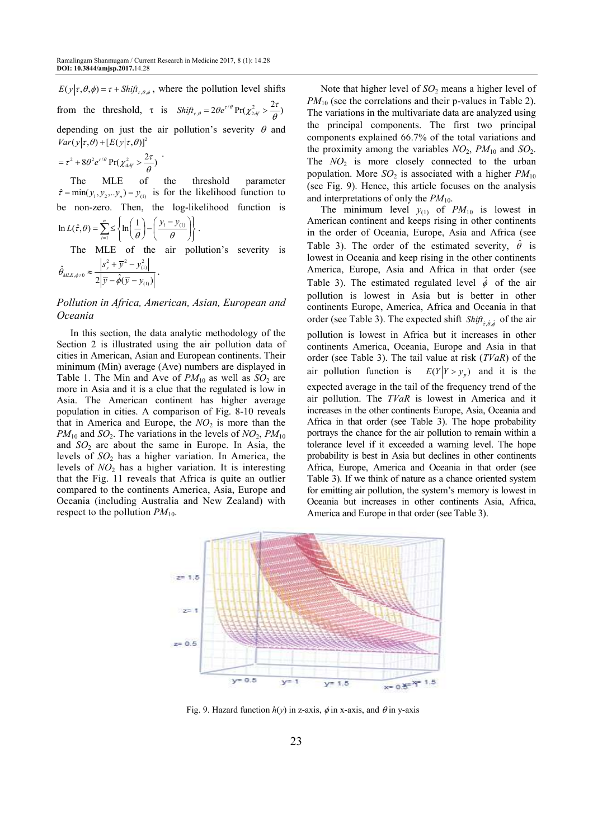$E(y | \tau, \theta, \phi) = \tau + \text{Shift}_{\tau, \theta, \phi}$ , where the pollution level shifts from the threshold,  $\tau$  is  $Shift_{r,\theta} = 2\theta e^{r/\theta} Pr(\chi^2_{2df} > \frac{2\tau}{\theta})$ depending on just the air pollution's severity  $\theta$  and  $Var(y|\tau, \theta) + [E(y|\tau, \theta)]^2$ .

$$
= \tau^2 + 8\theta^2 e^{\tau/\theta} \Pr(\chi^2_{4df} > \frac{2\tau}{\theta})
$$

The MLE of the threshold parameter  $\hat{\tau} = \min(y_1, y_2, \dots, y_n) = y_{(1)}$  is for the likelihood function to be non-zero. Then, the log-likelihood function is

$$
\ln L(\hat{\tau}, \theta) = \sum_{i=1}^{n} \le \left\{ \ln \left( \frac{1}{\theta} \right) - \left( \frac{y_i - y_{(1)}}{\theta} \right) \right\}.
$$
  
The MLE of the air pollut

tion's severity is  $s_y^2 + \overline{y}^2 - y_{(1)}^2$ 

$$
\hat{\theta}_{MLE,\phi\neq0}\approx\frac{|s_y+y-y_{(1)}|}{2|\overline{y}-\hat{\phi}(\overline{y}-y_{(1)})|}.
$$

# *Pollution in Africa, American, Asian, European and Oceania*

In this section, the data analytic methodology of the Section 2 is illustrated using the air pollution data of cities in American, Asian and European continents. Their minimum (Min) average (Ave) numbers are displayed in Table 1. The Min and Ave of  $PM_{10}$  as well as  $SO_2$  are more in Asia and it is a clue that the regulated is low in Asia. The American continent has higher average population in cities. A comparison of Fig. 8-10 reveals that in America and Europe, the  $NO<sub>2</sub>$  is more than the  $PM_{10}$  and  $SO_2$ . The variations in the levels of  $NO_2$ ,  $PM_{10}$ and  $SO_2$  are about the same in Europe. In Asia, the levels of *SO*2 has a higher variation. In America, the levels of *NO*2 has a higher variation. It is interesting that the Fig. 11 reveals that Africa is quite an outlier compared to the continents America, Asia, Europe and Oceania (including Australia and New Zealand) with respect to the pollution  $PM_{10}$ .

Note that higher level of *SO*<sub>2</sub> means a higher level of *PM*<sub>10</sub> (see the correlations and their p-values in Table 2). The variations in the multivariate data are analyzed using the principal components. The first two principal components explained 66.7% of the total variations and the proximity among the variables  $NO_2$ ,  $PM_{10}$  and  $SO_2$ . The  $NO<sub>2</sub>$  is more closely connected to the urban population. More  $SO_2$  is associated with a higher  $PM_{10}$ (see Fig. 9). Hence, this article focuses on the analysis and interpretations of only the  $PM_{10}$ .

The minimum level  $y_{(1)}$  of  $PM_{10}$  is lowest in American continent and keeps rising in other continents in the order of Oceania, Europe, Asia and Africa (see Table 3). The order of the estimated severity,  $\hat{\theta}$  is lowest in Oceania and keep rising in the other continents America, Europe, Asia and Africa in that order (see Table 3). The estimated regulated level  $\hat{\phi}$  of the air pollution is lowest in Asia but is better in other continents Europe, America, Africa and Oceania in that order (see Table 3). The expected shift  $\mathit{Shift}_{\hat{r}, \hat{\theta}, \hat{\phi}}$  of the air pollution is lowest in Africa but it increases in other continents America, Oceania, Europe and Asia in that order (see Table 3). The tail value at risk (*TVaR*) of the air pollution function is  $E(Y|Y > y_n)$  and it is the expected average in the tail of the frequency trend of the air pollution. The *TVaR* is lowest in America and it increases in the other continents Europe, Asia, Oceania and Africa in that order (see Table 3). The hope probability portrays the chance for the air pollution to remain within a tolerance level if it exceeded a warning level. The hope probability is best in Asia but declines in other continents Africa, Europe, America and Oceania in that order (see Table 3). If we think of nature as a chance oriented system for emitting air pollution, the system's memory is lowest in Oceania but increases in other continents Asia, Africa, America and Europe in that order (see Table 3).



Fig. 9. Hazard function  $h(y)$  in z-axis,  $\phi$  in x-axis, and  $\theta$  in y-axis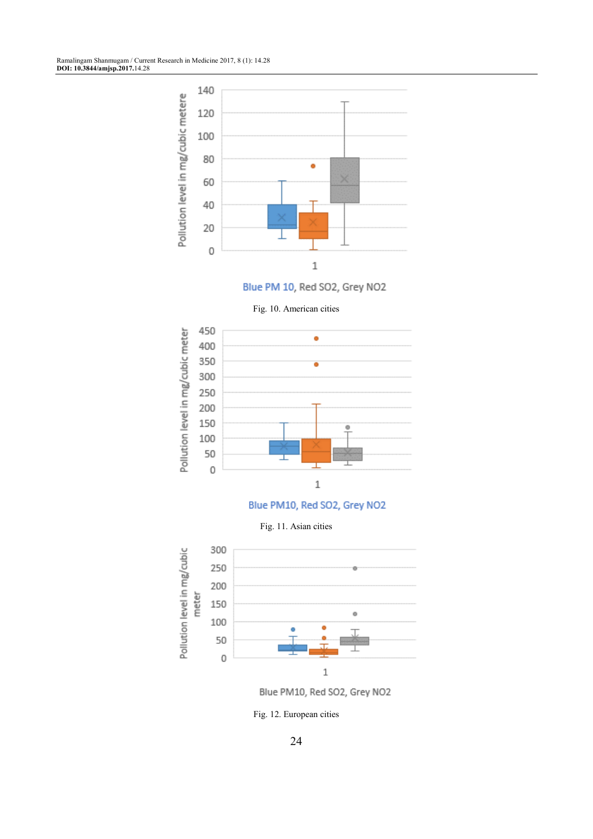

Blue PM 10, Red SO2, Grey NO2





Blue PM10, Red SO2, Grey NO2

Fig. 11. Asian cities



Blue PM10, Red SO2, Grey NO2

Fig. 12. European cities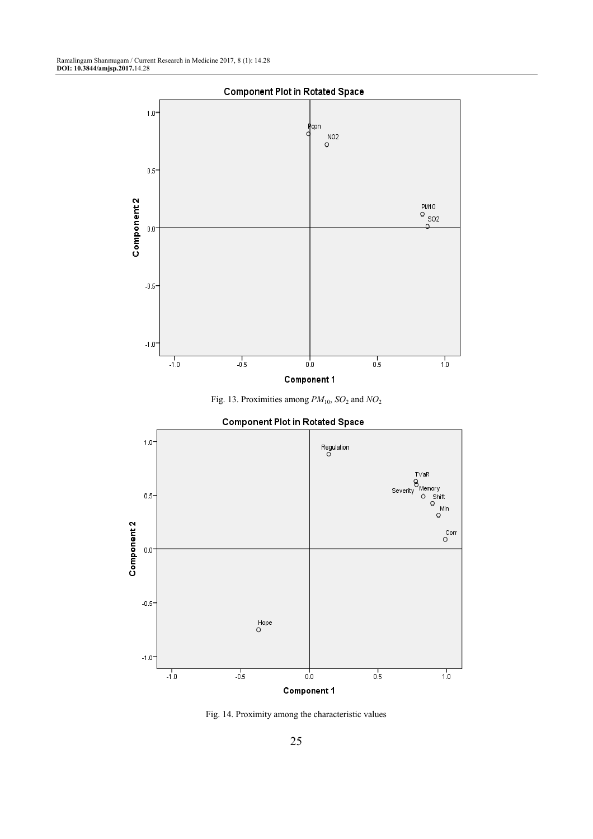

Fig. 13. Proximities among *PM*10, *SO*<sup>2</sup> and *NO*<sup>2</sup>



**Component Plot in Rotated Space** 

Fig. 14. Proximity among the characteristic values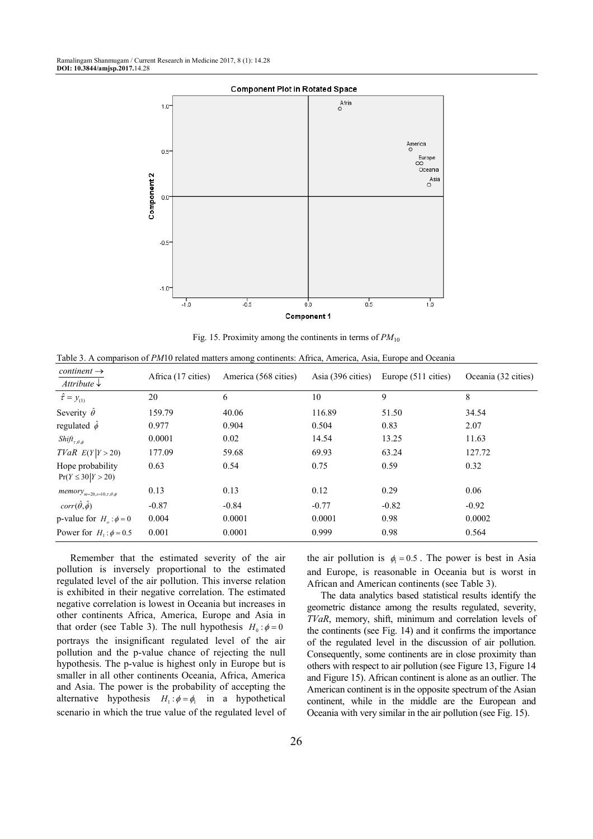

Fig. 15. Proximity among the continents in terms of  $PM_{10}$ 

Table 3. A comparison of *PM*10 related matters among continents: Africa, America, Asia, Europe and Oceania

| $content \rightarrow$<br>Attribute $\downarrow$ | Africa (17 cities) | America (568 cities) | Asia (396 cities) | Europe (511 cities) | Oceania (32 cities) |
|-------------------------------------------------|--------------------|----------------------|-------------------|---------------------|---------------------|
| $\hat{\tau} = y_{(1)}$                          | 20                 | 6                    | 10                | 9                   | 8                   |
| Severity $\hat{\theta}$                         | 159.79             | 40.06                | 116.89            | 51.50               | 34.54               |
| regulated $\hat{\phi}$                          | 0.977              | 0.904                | 0.504             | 0.83                | 2.07                |
| $Shift_{\tau,\theta,\phi}$                      | 0.0001             | 0.02                 | 14.54             | 13.25               | 11.63               |
| TVaR E(Y Y>20)                                  | 177.09             | 59.68                | 69.93             | 63.24               | 127.72              |
| Hope probability<br>$Pr(Y \le 30   Y > 20)$     | 0.63               | 0.54                 | 0.75              | 0.59                | 0.32                |
| $memory_{m=20,s=10,\tau,\theta,\phi}$           | 0.13               | 0.13                 | 0.12              | 0.29                | 0.06                |
| $corr(\hat{\theta}, \hat{\phi})$                | $-0.87$            | $-0.84$              | $-0.77$           | $-0.82$             | $-0.92$             |
| p-value for $H_a$ : $\phi = 0$                  | 0.004              | 0.0001               | 0.0001            | 0.98                | 0.0002              |
| Power for $H_1$ : $\phi$ = 0.5                  | 0.001              | 0.0001               | 0.999             | 0.98                | 0.564               |

Remember that the estimated severity of the air pollution is inversely proportional to the estimated regulated level of the air pollution. This inverse relation is exhibited in their negative correlation. The estimated negative correlation is lowest in Oceania but increases in other continents Africa, America, Europe and Asia in that order (see Table 3). The null hypothesis  $H_0 : \phi = 0$ portrays the insignificant regulated level of the air pollution and the p-value chance of rejecting the null hypothesis. The p-value is highest only in Europe but is smaller in all other continents Oceania, Africa, America and Asia. The power is the probability of accepting the alternative hypothesis  $H_1$ : $\phi = \phi_1$  in a hypothetical scenario in which the true value of the regulated level of

the air pollution is  $\phi_1 = 0.5$ . The power is best in Asia and Europe, is reasonable in Oceania but is worst in African and American continents (see Table 3).

The data analytics based statistical results identify the geometric distance among the results regulated, severity, *TVaR*, memory, shift, minimum and correlation levels of the continents (see Fig. 14) and it confirms the importance of the regulated level in the discussion of air pollution. Consequently, some continents are in close proximity than others with respect to air pollution (see Figure 13, Figure 14 and Figure 15). African continent is alone as an outlier. The American continent is in the opposite spectrum of the Asian continent, while in the middle are the European and Oceania with very similar in the air pollution (see Fig. 15).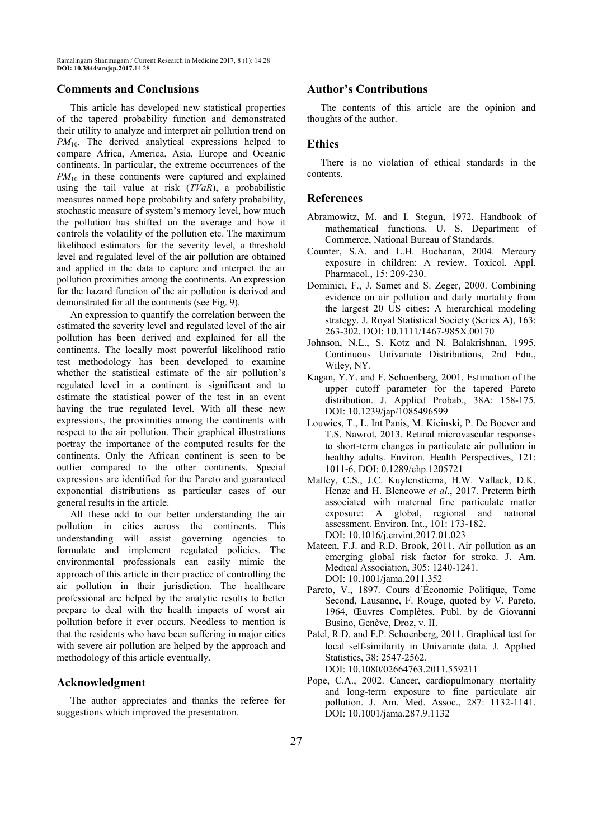# **Comments and Conclusions**

This article has developed new statistical properties of the tapered probability function and demonstrated their utility to analyze and interpret air pollution trend on *PM*<sub>10</sub>. The derived analytical expressions helped to compare Africa, America, Asia, Europe and Oceanic continents. In particular, the extreme occurrences of the *PM*<sub>10</sub> in these continents were captured and explained using the tail value at risk (*TVaR*), a probabilistic measures named hope probability and safety probability, stochastic measure of system's memory level, how much the pollution has shifted on the average and how it controls the volatility of the pollution etc. The maximum likelihood estimators for the severity level, a threshold level and regulated level of the air pollution are obtained and applied in the data to capture and interpret the air pollution proximities among the continents. An expression for the hazard function of the air pollution is derived and demonstrated for all the continents (see Fig. 9).

An expression to quantify the correlation between the estimated the severity level and regulated level of the air pollution has been derived and explained for all the continents. The locally most powerful likelihood ratio test methodology has been developed to examine whether the statistical estimate of the air pollution's regulated level in a continent is significant and to estimate the statistical power of the test in an event having the true regulated level. With all these new expressions, the proximities among the continents with respect to the air pollution. Their graphical illustrations portray the importance of the computed results for the continents. Only the African continent is seen to be outlier compared to the other continents. Special expressions are identified for the Pareto and guaranteed exponential distributions as particular cases of our general results in the article.

All these add to our better understanding the air pollution in cities across the continents. This understanding will assist governing agencies to formulate and implement regulated policies. The environmental professionals can easily mimic the approach of this article in their practice of controlling the air pollution in their jurisdiction. The healthcare professional are helped by the analytic results to better prepare to deal with the health impacts of worst air pollution before it ever occurs. Needless to mention is that the residents who have been suffering in major cities with severe air pollution are helped by the approach and methodology of this article eventually.

# **Acknowledgment**

The author appreciates and thanks the referee for suggestions which improved the presentation.

## **Author's Contributions**

The contents of this article are the opinion and thoughts of the author.

### **Ethics**

There is no violation of ethical standards in the contents.

#### **References**

- Abramowitz, M. and I. Stegun, 1972. Handbook of mathematical functions. U. S. Department of Commerce, National Bureau of Standards.
- Counter, S.A. and L.H. Buchanan, 2004. Mercury exposure in children: A review. Toxicol. Appl. Pharmacol., 15: 209-230.
- Dominici, F., J. Samet and S. Zeger, 2000. Combining evidence on air pollution and daily mortality from the largest 20 US cities: A hierarchical modeling strategy. J. Royal Statistical Society (Series A), 163: 263-302. DOI: 10.1111/1467-985X.00170
- Johnson, N.L., S. Kotz and N. Balakrishnan, 1995. Continuous Univariate Distributions, 2nd Edn., Wiley, NY.
- Kagan, Y.Y. and F. Schoenberg, 2001. Estimation of the upper cutoff parameter for the tapered Pareto distribution. J. Applied Probab., 38A: 158-175. DOI: 10.1239/jap/1085496599
- Louwies, T., L. Int Panis, M. Kicinski, P. De Boever and T.S. Nawrot, 2013. Retinal microvascular responses to short-term changes in particulate air pollution in healthy adults. Environ. Health Perspectives, 121: 1011-6. DOI: 0.1289/ehp.1205721
- Malley, C.S., J.C. Kuylenstierna, H.W. Vallack, D.K. Henze and H. Blencowe *et al*., 2017. Preterm birth associated with maternal fine particulate matter exposure: A global, regional and national assessment. Environ. Int., 101: 173-182. DOI: 10.1016/j.envint.2017.01.023
- Mateen, F.J. and R.D. Brook, 2011. Air pollution as an emerging global risk factor for stroke. J. Am. Medical Association, 305: 1240-1241. DOI: 10.1001/jama.2011.352
- Pareto, V., 1897. Cours d'Économie Politique, Tome Second, Lausanne, F. Rouge, quoted by V. Pareto, 1964, Œuvres Complètes, Publ. by de Giovanni Busino, Genève, Droz, v. II.
- Patel, R.D. and F.P. Schoenberg, 2011. Graphical test for local self-similarity in Univariate data. J. Applied Statistics, 38: 2547-2562.

DOI: 10.1080/02664763.2011.559211

Pope, C.A., 2002. Cancer, cardiopulmonary mortality and long-term exposure to fine particulate air pollution. J. Am. Med. Assoc., 287: 1132-1141. DOI: 10.1001/jama.287.9.1132